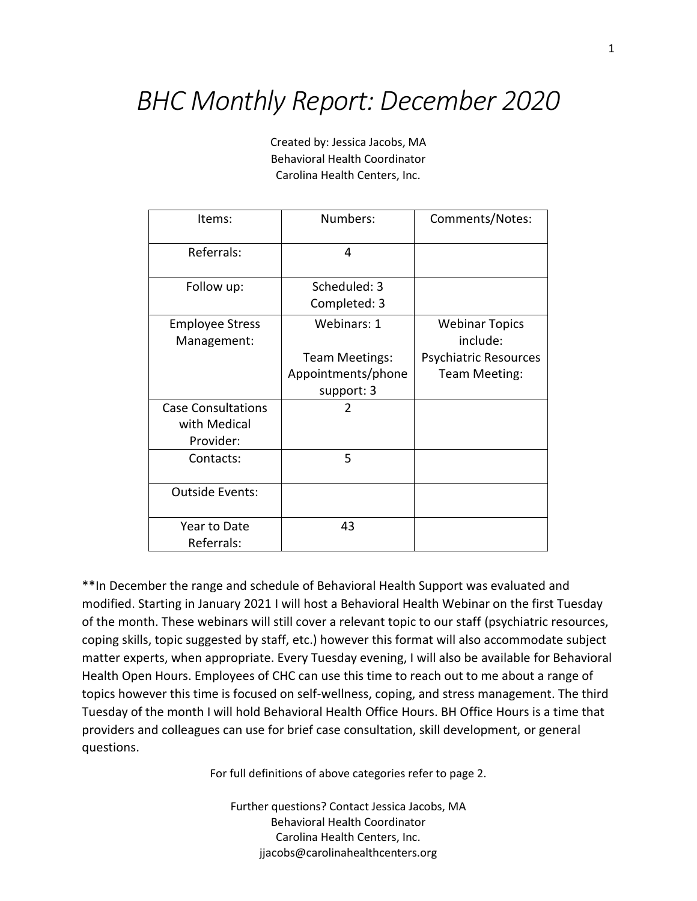## *BHC Monthly Report: December 2020*

Created by: Jessica Jacobs, MA Behavioral Health Coordinator Carolina Health Centers, Inc.

| Items:                                                 | Numbers:                                                          | Comments/Notes:                                                                    |
|--------------------------------------------------------|-------------------------------------------------------------------|------------------------------------------------------------------------------------|
| Referrals:                                             | 4                                                                 |                                                                                    |
| Follow up:                                             | Scheduled: 3<br>Completed: 3                                      |                                                                                    |
| <b>Employee Stress</b><br>Management:                  | Webinars: 1<br>Team Meetings:<br>Appointments/phone<br>support: 3 | <b>Webinar Topics</b><br>include:<br><b>Psychiatric Resources</b><br>Team Meeting: |
| <b>Case Consultations</b><br>with Medical<br>Provider: | 2                                                                 |                                                                                    |
| Contacts:                                              | 5                                                                 |                                                                                    |
| <b>Outside Events:</b>                                 |                                                                   |                                                                                    |
| Year to Date<br>Referrals:                             | 43                                                                |                                                                                    |

\*\*In December the range and schedule of Behavioral Health Support was evaluated and modified. Starting in January 2021 I will host a Behavioral Health Webinar on the first Tuesday of the month. These webinars will still cover a relevant topic to our staff (psychiatric resources, coping skills, topic suggested by staff, etc.) however this format will also accommodate subject matter experts, when appropriate. Every Tuesday evening, I will also be available for Behavioral Health Open Hours. Employees of CHC can use this time to reach out to me about a range of topics however this time is focused on self-wellness, coping, and stress management. The third Tuesday of the month I will hold Behavioral Health Office Hours. BH Office Hours is a time that providers and colleagues can use for brief case consultation, skill development, or general questions.

For full definitions of above categories refer to page 2.

Further questions? Contact Jessica Jacobs, MA Behavioral Health Coordinator Carolina Health Centers, Inc. jjacobs@carolinahealthcenters.org